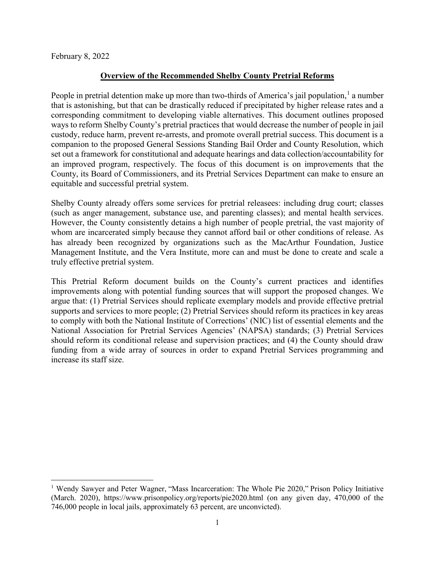February 8, 2022

 $\overline{\phantom{a}}$ 

### **Overview of the Recommended Shelby County Pretrial Reforms**

People in pretrial detention make up more than two-thirds of America's jail population,<sup>[1](#page-0-0)</sup> a number that is astonishing, but that can be drastically reduced if precipitated by higher release rates and a corresponding commitment to developing viable alternatives. This document outlines proposed ways to reform Shelby County's pretrial practices that would decrease the number of people in jail custody, reduce harm, prevent re-arrests, and promote overall pretrial success. This document is a companion to the proposed General Sessions Standing Bail Order and County Resolution, which set out a framework for constitutional and adequate hearings and data collection/accountability for an improved program, respectively. The focus of this document is on improvements that the County, its Board of Commissioners, and its Pretrial Services Department can make to ensure an equitable and successful pretrial system.

Shelby County already offers some services for pretrial releasees: including drug court; classes (such as anger management, substance use, and parenting classes); and mental health services. However, the County consistently detains a high number of people pretrial, the vast majority of whom are incarcerated simply because they cannot afford bail or other conditions of release. As has already been recognized by organizations such as the MacArthur Foundation, Justice Management Institute, and the Vera Institute, more can and must be done to create and scale a truly effective pretrial system.

This Pretrial Reform document builds on the County's current practices and identifies improvements along with potential funding sources that will support the proposed changes. We argue that: (1) Pretrial Services should replicate exemplary models and provide effective pretrial supports and services to more people; (2) Pretrial Services should reform its practices in key areas to comply with both the National Institute of Corrections' (NIC) list of essential elements and the National Association for Pretrial Services Agencies' (NAPSA) standards; (3) Pretrial Services should reform its conditional release and supervision practices; and (4) the County should draw funding from a wide array of sources in order to expand Pretrial Services programming and increase its staff size.

<span id="page-0-0"></span><sup>&</sup>lt;sup>1</sup> Wendy Sawyer and Peter Wagner, "Mass Incarceration: The Whole Pie 2020," Prison Policy Initiative (March. 2020), https://www.prisonpolicy.org/reports/pie2020.html (on any given day, 470,000 of the 746,000 people in local jails, approximately 63 percent, are unconvicted).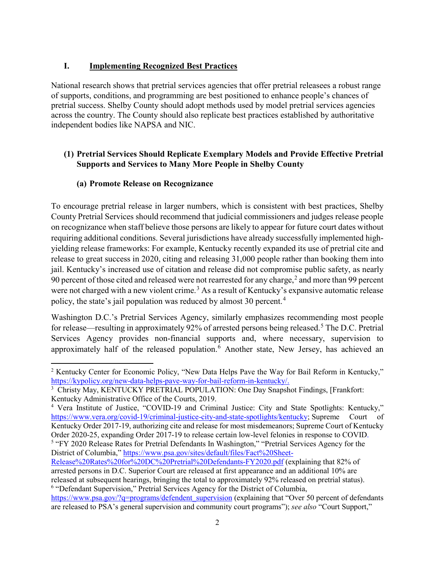### **I. Implementing Recognized Best Practices**

National research shows that pretrial services agencies that offer pretrial releasees a robust range of supports, conditions, and programming are best positioned to enhance people's chances of pretrial success. Shelby County should adopt methods used by model pretrial services agencies across the country. The County should also replicate best practices established by authoritative independent bodies like NAPSA and NIC.

### **(1) Pretrial Services Should Replicate Exemplary Models and Provide Effective Pretrial Supports and Services to Many More People in Shelby County**

## **(a) Promote Release on Recognizance**

l

To encourage pretrial release in larger numbers, which is consistent with best practices, Shelby County Pretrial Services should recommend that judicial commissioners and judges release people on recognizance when staff believe those persons are likely to appear for future court dates without requiring additional conditions. Several jurisdictions have already successfully implemented highyielding release frameworks: For example, Kentucky recently expanded its use of pretrial cite and release to great success in 2020, citing and releasing 31,000 people rather than booking them into jail. Kentucky's increased use of citation and release did not compromise public safety, as nearly 90 percent of those cited and released were not rearrested for any charge, $^2$  $^2$  and more than 99 percent were not charged with a new violent crime.<sup>[3](#page-1-1)</sup> As a result of Kentucky's expansive automatic release policy, the state's jail population was reduced by almost 30 percent.<sup>[4](#page-1-2)</sup>

Washington D.C.'s Pretrial Services Agency, similarly emphasizes recommending most people for release—resulting in approximately 92% of arrested persons being released.<sup>[5](#page-1-3)</sup> The D.C. Pretrial Services Agency provides non-financial supports and, where necessary, supervision to approximately half of the released population.<sup>[6](#page-1-4)</sup> Another state, New Jersey, has achieved an

<span id="page-1-3"></span>District of Columbia," [https://www.psa.gov/sites/default/files/Fact%20Sheet-](https://www.psa.gov/sites/default/files/Fact%20Sheet-Release%20Rates%20for%20DC%20Pretrial%20Defendants-FY2020.pdf)

<span id="page-1-0"></span><sup>&</sup>lt;sup>2</sup> Kentucky Center for Economic Policy, "New Data Helps Pave the Way for Bail Reform in Kentucky," [https://kypolicy.org/new-data-helps-pave-way-for-bail-reform-in-kentucky/.](https://kypolicy.org/new-data-helps-pave-way-for-bail-reform-in-kentucky/)

<span id="page-1-1"></span><sup>&</sup>lt;sup>3</sup> Christy May, KENTUCKY PRETRIAL POPULATION: One Day Snapshot Findings, [Frankfort: Kentucky Administrative Office of the Courts, 2019.

<span id="page-1-2"></span><sup>4</sup> Vera Institute of Justice, "COVID-19 and Criminal Justice: City and State Spotlights: Kentucky," [https://www.vera.org/covid-19/criminal-justice-city-and-state-spotlights/kentucky;](https://www.vera.org/covid-19/criminal-justice-city-and-state-spotlights/kentucky) Supreme Court of Kentucky Order 2017-19, authorizing cite and release for most misdemeanors; Supreme Court of Kentucky Order 2020-25, expanding Order 2017-19 to release certain low-level felonies in response to COVID. <sup>5</sup> "FY 2020 Release Rates for Pretrial Defendants In Washington," "Pretrial Services Agency for the

[Release%20Rates%20for%20DC%20Pretrial%20Defendants-FY2020.pdf](https://www.psa.gov/sites/default/files/Fact%20Sheet-Release%20Rates%20for%20DC%20Pretrial%20Defendants-FY2020.pdf) (explaining that 82% of arrested persons in D.C. Superior Court are released at first appearance and an additional 10% are released at subsequent hearings, bringing the total to approximately 92% released on pretrial status). <sup>6</sup> "Defendant Supervision," Pretrial Services Agency for the District of Columbia,

<span id="page-1-4"></span>[https://www.psa.gov/?q=programs/defendent\\_supervision](https://www.psa.gov/?q=programs/defendent_supervision) (explaining that "Over 50 percent of defendants are released to PSA's general supervision and community court programs"); *see also* "Court Support,"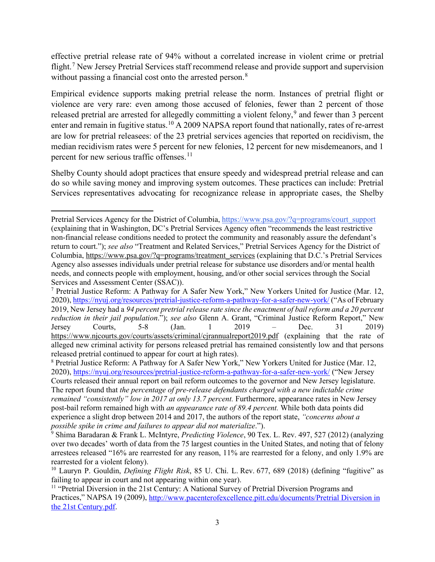effective pretrial release rate of 94% without a correlated increase in violent crime or pretrial flight.<sup>[7](#page-2-0)</sup> New Jersey Pretrial Services staff recommend release and provide support and supervision without passing a financial cost onto the arrested person.<sup>[8](#page-2-1)</sup>

Empirical evidence supports making pretrial release the norm. Instances of pretrial flight or violence are very rare: even among those accused of felonies, fewer than 2 percent of those released pretrial are arrested for allegedly committing a violent felony,<sup>[9](#page-2-2)</sup> and fewer than 3 percent enter and remain in fugitive status.<sup>[10](#page-2-3)</sup> A 2009 NAPSA report found that nationally, rates of re-arrest are low for pretrial releasees: of the 23 pretrial services agencies that reported on recidivism, the median recidivism rates were 5 percent for new felonies, 12 percent for new misdemeanors, and 1 percent for new serious traffic offenses.<sup>[11](#page-2-4)</sup>

Shelby County should adopt practices that ensure speedy and widespread pretrial release and can do so while saving money and improving system outcomes. These practices can include: Pretrial Services representatives advocating for recognizance release in appropriate cases, the Shelby

 $\overline{a}$ 

Pretrial Services Agency for the District of Columbia, [https://www.psa.gov/?q=programs/court\\_support](https://www.psa.gov/?q=programs/court_support) (explaining that in Washington, DC's Pretrial Services Agency often "recommends the least restrictive non-financial release conditions needed to protect the community and reasonably assure the defendant's return to court."); *see also* "Treatment and Related Services," Pretrial Services Agency for the District of Columbia, [https://www.psa.gov/?q=programs/treatment\\_services](https://www.psa.gov/?q=programs/treatment_services) (explaining that D.C.'s Pretrial Services Agency also assesses individuals under pretrial release for substance use disorders and/or mental health needs, and connects people with employment, housing, and/or other social services through the Social Services and Assessment Center (SSAC)).

<span id="page-2-0"></span><sup>7</sup> Pretrial Justice Reform: A Pathway for A Safer New York," New Yorkers United for Justice (Mar. 12, 2020)[, https://nyuj.org/resources/pretrial-justice-reform-a-pathway-for-a-safer-new-york/](https://nyuj.org/resources/pretrial-justice-reform-a-pathway-for-a-safer-new-york/) ("As of February 2019, New Jersey had a *94 percent pretrial release rate since the enactment of bail reform and a 20 percent reduction in their jail population*."); *see also* Glenn A. Grant, "Criminal Justice Reform Report," New Jersey Courts, 5-8 (Jan. 1 2019 – Dec. 31 2019) <https://www.njcourts.gov/courts/assets/criminal/cjrannualreport2019.pdf> (explaining that the rate of alleged new criminal activity for persons released pretrial has remained consistently low and that persons released pretrial continued to appear for court at high rates).

<span id="page-2-1"></span><sup>8</sup> Pretrial Justice Reform: A Pathway for A Safer New York," New Yorkers United for Justice (Mar. 12, 2020),<https://nyuj.org/resources/pretrial-justice-reform-a-pathway-for-a-safer-new-york/> ("New Jersey Courts released their annual report on bail reform outcomes to the governor and New Jersey legislature. The report found that *the percentage of pre-release defendants charged with a new indictable crime remained "consistently" low in 2017 at only 13.7 percent.* Furthermore, appearance rates in New Jersey post-bail reform remained high with *an appearance rate of 89.4 percent.* While both data points did experience a slight drop between 2014 and 2017, the authors of the report state, *"concerns about a possible spike in crime and failures to appear did not materialize*.").

<span id="page-2-2"></span><sup>9</sup> Shima Baradaran & Frank L. McIntyre, *Predicting Violence*, 90 Tex. L. Rev. 497, 527 (2012) (analyzing over two decades' worth of data from the 75 largest counties in the United States, and noting that of felony arrestees released "16% are rearrested for any reason, 11% are rearrested for a felony, and only 1.9% are rearrested for a violent felony).

<span id="page-2-3"></span><sup>10</sup> Lauryn P. Gouldin, *Defining Flight Risk*, 85 U. Chi. L. Rev. 677, 689 (2018) (defining "fugitive" as failing to appear in court and not appearing within one year).

<span id="page-2-4"></span><sup>&</sup>lt;sup>11</sup> "Pretrial Diversion in the 21st Century: A National Survey of Pretrial Diversion Programs and Practices," NAPSA 19 (2009), [http://www.pacenterofexcellence.pitt.edu/documents/Pretrial Diversion in](http://www.pacenterofexcellence.pitt.edu/documents/Pretrial%20Diversion%20in%20the%2021st%20Century.pdf)  [the 21st Century.pdf.](http://www.pacenterofexcellence.pitt.edu/documents/Pretrial%20Diversion%20in%20the%2021st%20Century.pdf)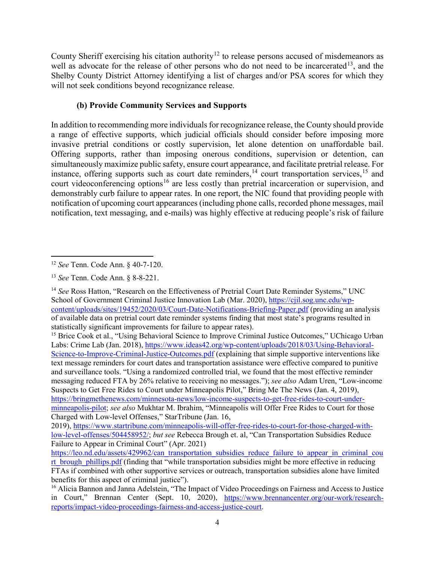County Sheriff exercising his citation authority<sup>[12](#page-3-0)</sup> to release persons accused of misdemeanors as well as advocate for the release of other persons who do not need to be incarcerated<sup>[13](#page-3-1)</sup>, and the Shelby County District Attorney identifying a list of charges and/or PSA scores for which they will not seek conditions beyond recognizance release.

## **(b) Provide Community Services and Supports**

In addition to recommending more individuals for recognizance release, the County should provide a range of effective supports, which judicial officials should consider before imposing more invasive pretrial conditions or costly supervision, let alone detention on unaffordable bail. Offering supports, rather than imposing onerous conditions, supervision or detention, can simultaneously maximize public safety, ensure court appearance, and facilitate pretrial release. For instance, offering supports such as court date reminders,  $14$  court transportation services,  $15$  and court videoconferencing options<sup>[16](#page-3-4)</sup> are less costly than pretrial incarceration or supervision, and demonstrably curb failure to appear rates. In one report, the NIC found that providing people with notification of upcoming court appearances (including phone calls, recorded phone messages, mail notification, text messaging, and e-mails) was highly effective at reducing people's risk of failure

<span id="page-3-0"></span>l <sup>12</sup> *See* Tenn. Code Ann. § 40-7-120.

<span id="page-3-1"></span><sup>13</sup> *See* Tenn. Code Ann. § 8-8-221.

<span id="page-3-2"></span><sup>&</sup>lt;sup>14</sup> See Ross Hatton, "Research on the Effectiveness of Pretrial Court Date Reminder Systems," UNC School of Government Criminal Justice Innovation Lab (Mar. 2020), [https://cjil.sog.unc.edu/wp](https://cjil.sog.unc.edu/wp-content/uploads/sites/19452/2020/03/Court-Date-Notifications-Briefing-Paper.pdf)[content/uploads/sites/19452/2020/03/Court-Date-Notifications-Briefing-Paper.pdf](https://cjil.sog.unc.edu/wp-content/uploads/sites/19452/2020/03/Court-Date-Notifications-Briefing-Paper.pdf) (providing an analysis of available data on pretrial court date reminder systems finding that most state's programs resulted in statistically significant improvements for failure to appear rates).

<span id="page-3-3"></span><sup>&</sup>lt;sup>15</sup> Brice Cook et al., "Using Behavioral Science to Improve Criminal Justice Outcomes," UChicago Urban Labs: Crime Lab (Jan. 2018), [https://www.ideas42.org/wp-content/uploads/2018/03/Using-Behavioral-](https://www.ideas42.org/wp-content/uploads/2018/03/Using-Behavioral-Science-to-Improve-Criminal-Justice-Outcomes.pdf)[Science-to-Improve-Criminal-Justice-Outcomes.pdf](https://www.ideas42.org/wp-content/uploads/2018/03/Using-Behavioral-Science-to-Improve-Criminal-Justice-Outcomes.pdf) (explaining that simple supportive interventions like text message reminders for court dates and transportation assistance were effective compared to punitive and surveillance tools. "Using a randomized controlled trial, we found that the most effective reminder messaging reduced FTA by 26% relative to receiving no messages."); *see also* Adam Uren, "Low-income Suspects to Get Free Rides to Court under Minneapolis Pilot," Bring Me The News (Jan. 4, 2019), [https://bringmethenews.com/minnesota-news/low-income-suspects-to-get-free-rides-to-court-under](https://bringmethenews.com/minnesota-news/low-income-suspects-to-get-free-rides-to-court-under-minneapolis-pilot)[minneapolis-pilot;](https://bringmethenews.com/minnesota-news/low-income-suspects-to-get-free-rides-to-court-under-minneapolis-pilot) *see also* Mukhtar M. Ibrahim, "Minneapolis will Offer Free Rides to Court for those Charged with Low-level Offenses," StarTribune (Jan. 16,

<sup>2019),</sup> [https://www.startribune.com/minneapolis-will-offer-free-rides-to-court-for-those-charged-with](https://www.startribune.com/minneapolis-will-offer-free-rides-to-court-for-those-charged-with-low-level-offenses/504458952/)[low-level-offenses/504458952/;](https://www.startribune.com/minneapolis-will-offer-free-rides-to-court-for-those-charged-with-low-level-offenses/504458952/) *but see* Rebecca Brough et. al, "Can Transportation Subsidies Reduce Failure to Appear in Criminal Court" (Apr. 2021)

[https://leo.nd.edu/assets/429962/can\\_transportation\\_subsidies\\_reduce\\_failure\\_to\\_appear\\_in\\_criminal\\_cou](https://leo.nd.edu/assets/429962/can_transportation_subsidies_reduce_failure_to_appear_in_criminal_court_brough_phillips.pdf) [rt\\_brough\\_phillips.pdf](https://leo.nd.edu/assets/429962/can_transportation_subsidies_reduce_failure_to_appear_in_criminal_court_brough_phillips.pdf) (finding that "while transportation subsidies might be more effective in reducing FTAs if combined with other supportive services or outreach, transportation subsidies alone have limited benefits for this aspect of criminal justice").

<span id="page-3-4"></span><sup>16</sup> Alicia Bannon and Janna Adelstein, "The Impact of Video Proceedings on Fairness and Access to Justice in Court," Brennan Center (Sept. 10, 2020), [https://www.brennancenter.org/our-work/research](https://www.brennancenter.org/our-work/research-reports/impact-video-proceedings-fairness-and-access-justice-court)[reports/impact-video-proceedings-fairness-and-access-justice-court.](https://www.brennancenter.org/our-work/research-reports/impact-video-proceedings-fairness-and-access-justice-court)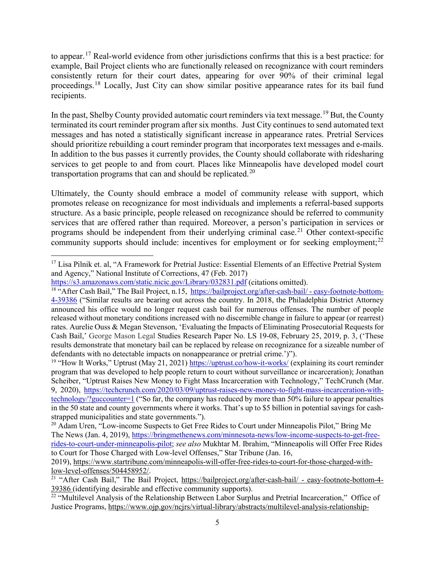to appear.[17](#page-4-0) Real-world evidence from other jurisdictions confirms that this is a best practice: for example, Bail Project clients who are functionally released on recognizance with court reminders consistently return for their court dates, appearing for over 90% of their criminal legal proceedings.<sup>[18](#page-4-1)</sup> Locally, Just City can show similar positive appearance rates for its bail fund recipients.

In the past, Shelby County provided automatic court reminders via text message.<sup>[19](#page-4-2)</sup> But, the County terminated its court reminder program after six months. Just City continues to send automated text messages and has noted a statistically significant increase in appearance rates. Pretrial Services should prioritize rebuilding a court reminder program that incorporates text messages and e-mails. In addition to the bus passes it currently provides, the County should collaborate with ridesharing services to get people to and from court. Places like Minneapolis have developed model court transportation programs that can and should be replicated.<sup>[20](#page-4-3)</sup>

Ultimately, the County should embrace a model of community release with support, which promotes release on recognizance for most individuals and implements a referral-based supports structure. As a basic principle, people released on recognizance should be referred to community services that are offered rather than required. Moreover, a person's participation in services or programs should be independent from their underlying criminal case.<sup>[21](#page-4-4)</sup> Other context-specific community supports should include: incentives for employment or for seeking employment;<sup>[22](#page-4-5)</sup>

<span id="page-4-0"></span> $\overline{\phantom{a}}$ <sup>17</sup> Lisa Pilnik et. al, "A Framework for Pretrial Justice: Essential Elements of an Effective Pretrial System and Agency," National Institute of Corrections, 47 (Feb. 2017)

<https://s3.amazonaws.com/static.nicic.gov/Library/032831.pdf> (citations omitted).

<span id="page-4-1"></span><sup>&</sup>lt;sup>18</sup> "After Cash Bail," The Bail Project, n.15, [https://bailproject.org/after-cash-bail/ -](https://bailproject.org/after-cash-bail/#easy-footnote-bottom-4-39386) easy-footnote-bottom-[4-39386](https://bailproject.org/after-cash-bail/#easy-footnote-bottom-4-39386) ("Similar results are bearing out across the country. In 2018, the Philadelphia District Attorney announced his office would no longer request cash bail for numerous offenses. The number of people released without monetary conditions increased with no discernible change in failure to appear (or rearrest) rates. Aurelie Ouss & Megan Stevenson, 'Evaluating the Impacts of Eliminating Prosecutorial Requests for Cash Bail,' George Mason Legal Studies Research Paper No. LS 19-08, February 25, 2019, p. 3, ('These results demonstrate that monetary bail can be replaced by release on recognizance for a sizeable number of defendants with no detectable impacts on nonappearance or pretrial crime.')").

<span id="page-4-2"></span><sup>&</sup>lt;sup>19</sup> "How It Works," Uptrust (May 21, 2021)<https://uptrust.co/how-it-works/> (explaining its court reminder program that was developed to help people return to court without surveillance or incarceration); Jonathan Scheiber, "Uptrust Raises New Money to Fight Mass Incarceration with Technology," TechCrunch (Mar. 9, 2020), [https://techcrunch.com/2020/03/09/uptrust-raises-new-money-to-fight-mass-incarceration-with](https://techcrunch.com/2020/03/09/uptrust-raises-new-money-to-fight-mass-incarceration-with-technology/?guccounter=1)[technology/?guccounter=1](https://techcrunch.com/2020/03/09/uptrust-raises-new-money-to-fight-mass-incarceration-with-technology/?guccounter=1) ("So far, the company has reduced by more than 50% failure to appear penalties in the 50 state and county governments where it works. That's up to \$5 billion in potential savings for cashstrapped municipalities and state governments.").

<span id="page-4-3"></span><sup>&</sup>lt;sup>20</sup> Adam Uren, "Low-income Suspects to Get Free Rides to Court under Minneapolis Pilot," Bring Me The News (Jan. 4, 2019), [https://bringmethenews.com/minnesota-news/low-income-suspects-to-get-free](https://bringmethenews.com/minnesota-news/low-income-suspects-to-get-free-rides-to-court-under-minneapolis-pilot)[rides-to-court-under-minneapolis-pilot;](https://bringmethenews.com/minnesota-news/low-income-suspects-to-get-free-rides-to-court-under-minneapolis-pilot) *see also* Mukhtar M. Ibrahim, "Minneapolis will Offer Free Rides to Court for Those Charged with Low-level Offenses," Star Tribune (Jan. 16,

<sup>2019),</sup> [https://www.startribune.com/minneapolis-will-offer-free-rides-to-court-for-those-charged-with](https://www.startribune.com/minneapolis-will-offer-free-rides-to-court-for-those-charged-with-low-level-offenses/504458952/)[low-level-offenses/504458952/.](https://www.startribune.com/minneapolis-will-offer-free-rides-to-court-for-those-charged-with-low-level-offenses/504458952/)

<span id="page-4-4"></span><sup>&</sup>lt;sup>21</sup> "After Cash Bail," The Bail Project, [https://bailproject.org/after-cash-bail/ -](https://bailproject.org/after-cash-bail/#easy-footnote-bottom-4-39386) easy-footnote-bottom-4-[39386](https://bailproject.org/after-cash-bail/#easy-footnote-bottom-4-39386) (identifying desirable and effective community supports).

<span id="page-4-5"></span><sup>&</sup>lt;sup>22</sup> "Multilevel Analysis of the Relationship Between Labor Surplus and Pretrial Incarceration," Office of Justice Programs, [https://www.ojp.gov/ncjrs/virtual-library/abstracts/multilevel-analysis-relationship-](https://www.ojp.gov/ncjrs/virtual-library/abstracts/multilevel-analysis-relationship-between-labor-surplus-and-pretrial)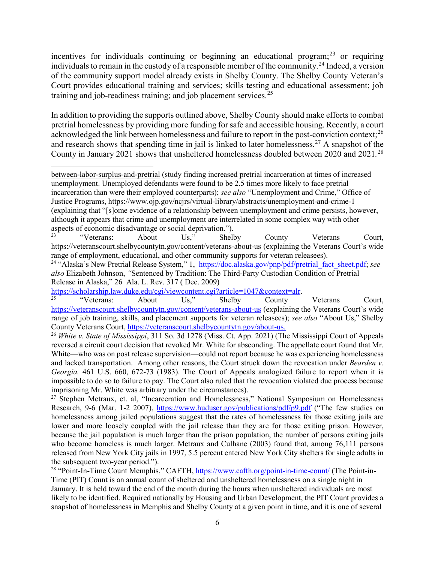incentives for individuals continuing or beginning an educational program; $^{23}$  $^{23}$  $^{23}$  or requiring individuals to remain in the custody of a responsible member of the community.[24](#page-5-1) Indeed, a version of the community support model already exists in Shelby County. The Shelby County Veteran's Court provides educational training and services; skills testing and educational assessment; job training and job-readiness training; and job placement services.<sup>[25](#page-5-2)</sup>

In addition to providing the supports outlined above, Shelby County should make efforts to combat pretrial homelessness by providing more funding for safe and accessible housing. Recently, a court acknowledged the link between homelessness and failure to report in the post-conviction context;<sup>[26](#page-5-3)</sup> and research shows that spending time in jail is linked to later homelessness.<sup>[27](#page-5-4)</sup> A snapshot of the County in January 2021 shows that unsheltered homelessness doubled between 2020 and 2021*.* [28](#page-5-5)

<span id="page-5-0"></span><sup>23</sup> "Veterans: About Us," Shelby County Veterans Court, <https://veteranscourt.shelbycountytn.gov/content/veterans-about-us> (explaining the Veterans Court's wide range of employment, educational, and other community supports for veteran releasees).

<span id="page-5-1"></span><sup>24</sup> "Alaska's New Pretrial Release System," 1, [https://doc.alaska.gov/pnp/pdf/pretrial\\_fact\\_sheet.pdf;](https://doc.alaska.gov/pnp/pdf/pretrial_fact_sheet.pdf) *see also* Elizabeth Johnson, *"*Sentenced by Tradition: The Third-Party Custodian Condition of Pretrial Release in Alaska," 26 Ala. L. Rev. 317 ( Dec. 2009)

l

<span id="page-5-2"></span>[https://scholarship.law.duke.edu/cgi/viewcontent.cgi?article=1047&context=alr.](https://scholarship.law.duke.edu/cgi/viewcontent.cgi?article=1047&context=alr)<br><sup>25</sup> "Veterans: About Us," Shelby County Veterans Court, <https://veteranscourt.shelbycountytn.gov/content/veterans-about-us> (explaining the Veterans Court's wide range of job training, skills, and placement supports for veteran releasees); *see also* "About Us," Shelby County Veterans Court, [https://veteranscourt.shelbycountytn.gov/about-us.](https://veteranscourt.shelbycountytn.gov/about-us) 26 *White v. State of Mississippi*, 311 So. 3d 1278 (Miss. Ct. App. 2021) (The Mississippi Court of Appeals

<span id="page-5-3"></span>reversed a circuit court decision that revoked Mr. White for absconding. The appellate court found that Mr. White—who was on post release supervision—could not report because he was experiencing homelessness and lacked transportation. Among other reasons, the Court struck down the revocation under *Bearden v. Georgia.* 461 U.S. 660, 672-73 (1983). The Court of Appeals analogized failure to report when it is impossible to do so to failure to pay. The Court also ruled that the revocation violated due process because imprisoning Mr. White was arbitrary under the circumstances).

<span id="page-5-4"></span><sup>27</sup> Stephen Metraux, et. al, "Incarceration and Homelessness," National Symposium on Homelessness Research, 9-6 (Mar. 1-2 2007),<https://www.huduser.gov/publications/pdf/p9.pdf> ("The few studies on homelessness among jailed populations suggest that the rates of homelessness for those exiting jails are lower and more loosely coupled with the jail release than they are for those exiting prison. However, because the jail population is much larger than the prison population, the number of persons exiting jails who become homeless is much larger. Metraux and Culhane (2003) found that, among 76,111 persons released from New York City jails in 1997, 5.5 percent entered New York City shelters for single adults in the subsequent two-year period.").

<span id="page-5-5"></span><sup>28</sup> "Point-In-Time Count Memphis," CAFTH,<https://www.cafth.org/point-in-time-count/> (The Point-in-Time (PIT) Count is an annual count of sheltered and unsheltered homelessness on a single night in January. It is held toward the end of the month during the hours when unsheltered individuals are most likely to be identified. Required nationally by Housing and Urban Development, the PIT Count provides a snapshot of homelessness in Memphis and Shelby County at a given point in time, and it is one of several

[between-labor-surplus-and-pretrial](https://www.ojp.gov/ncjrs/virtual-library/abstracts/multilevel-analysis-relationship-between-labor-surplus-and-pretrial) (study finding increased pretrial incarceration at times of increased unemployment. Unemployed defendants were found to be 2.5 times more likely to face pretrial incarceration than were their employed counterparts); *see also* "Unemployment and Crime," Office of Justice Programs,<https://www.ojp.gov/ncjrs/virtual-library/abstracts/unemployment-and-crime-1> (explaining that "[s]ome evidence of a relationship between unemployment and crime persists, however, although it appears that crime and unemployment are interrelated in some complex way with other aspects of economic disadvantage or social deprivation.").<br>
"Veterans: About Us," Shell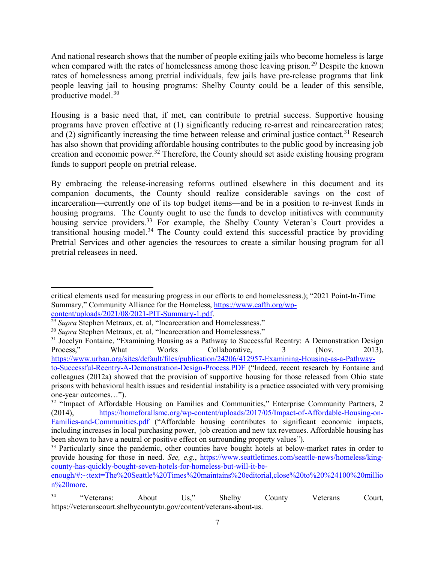And national research shows that the number of people exiting jails who become homeless is large when compared with the rates of homelessness among those leaving prison.<sup>[29](#page-6-0)</sup> Despite the known rates of homelessness among pretrial individuals, few jails have pre-release programs that link people leaving jail to housing programs: Shelby County could be a leader of this sensible, productive model. [30](#page-6-1)

Housing is a basic need that, if met, can contribute to pretrial success. Supportive housing programs have proven effective at (1) significantly reducing re-arrest and reincarceration rates; and  $(2)$  significantly increasing the time between release and criminal justice contact.<sup>[31](#page-6-2)</sup> Research has also shown that providing affordable housing contributes to the public good by increasing job creation and economic power.<sup>[32](#page-6-3)</sup> Therefore, the County should set aside existing housing program funds to support people on pretrial release.

By embracing the release-increasing reforms outlined elsewhere in this document and its companion documents, the County should realize considerable savings on the cost of incarceration—currently one of its top budget items—and be in a position to re-invest funds in housing programs. The County ought to use the funds to develop initiatives with community housing service providers.<sup>[33](#page-6-4)</sup> For example, the Shelby County Veteran's Court provides a transitional housing model.<sup>[34](#page-6-5)</sup> The County could extend this successful practice by providing Pretrial Services and other agencies the resources to create a similar housing program for all pretrial releasees in need.

l

critical elements used for measuring progress in our efforts to end homelessness.); "2021 Point-In-Time Summary," Community Alliance for the Homeless, [https://www.cafth.org/wp](https://www.cafth.org/wp-content/uploads/2021/08/2021-PIT-Summary-1.pdf)[content/uploads/2021/08/2021-PIT-Summary-1.pdf.](https://www.cafth.org/wp-content/uploads/2021/08/2021-PIT-Summary-1.pdf)

<span id="page-6-0"></span><sup>&</sup>lt;sup>29</sup> *Supra* Stephen Metraux, et. al, "Incarceration and Homelessness."

<span id="page-6-1"></span><sup>&</sup>lt;sup>30</sup> *Supra* Stephen Metraux, et. al, "Incarceration and Homelessness."

<span id="page-6-2"></span><sup>&</sup>lt;sup>31</sup> Jocelyn Fontaine, "Examining Housing as a Pathway to Successful Reentry: A Demonstration Design Process," What Works Collaborative, 3 (Nov. 2013), [https://www.urban.org/sites/default/files/publication/24206/412957-Examining-Housing-as-a-Pathway](https://www.urban.org/sites/default/files/publication/24206/412957-Examining-Housing-as-a-Pathway-to-Successful-Reentry-A-Demonstration-Design-Process.PDF)[to-Successful-Reentry-A-Demonstration-Design-Process.PDF](https://www.urban.org/sites/default/files/publication/24206/412957-Examining-Housing-as-a-Pathway-to-Successful-Reentry-A-Demonstration-Design-Process.PDF) ("Indeed, recent research by Fontaine and colleagues (2012a) showed that the provision of supportive housing for those released from Ohio state prisons with behavioral health issues and residential instability is a practice associated with very promising one-year outcomes…").

<span id="page-6-3"></span> $32$  "Impact of Affordable Housing on Families and Communities," Enterprise Community Partners, 2 (2014), [https://homeforallsmc.org/wp-content/uploads/2017/05/Impact-of-Affordable-Housing-on-](https://homeforallsmc.org/wp-content/uploads/2017/05/Impact-of-Affordable-Housing-on-Families-and-Communities.pdf)[Families-and-Communities.pdf](https://homeforallsmc.org/wp-content/uploads/2017/05/Impact-of-Affordable-Housing-on-Families-and-Communities.pdf) ("Affordable housing contributes to significant economic impacts, including increases in local purchasing power, job creation and new tax revenues. Affordable housing has been shown to have a neutral or positive effect on surrounding property values").

<span id="page-6-4"></span><sup>&</sup>lt;sup>33</sup> Particularly since the pandemic, other counties have bought hotels at below-market rates in order to provide housing for those in need. *See, e.g.*, [https://www.seattletimes.com/seattle-news/homeless/king](https://www.seattletimes.com/seattle-news/homeless/king-county-has-quickly-bought-seven-hotels-for-homeless-but-will-it-be-enough/#:%7E:text=The%20Seattle%20Times%20maintains%20editorial,close%20to%20%24100%20million%20more)[county-has-quickly-bought-seven-hotels-for-homeless-but-will-it-be-](https://www.seattletimes.com/seattle-news/homeless/king-county-has-quickly-bought-seven-hotels-for-homeless-but-will-it-be-enough/#:%7E:text=The%20Seattle%20Times%20maintains%20editorial,close%20to%20%24100%20million%20more)

[enough/#:~:text=The%20Seattle%20Times%20maintains%20editorial,close%20to%20%24100%20millio](https://www.seattletimes.com/seattle-news/homeless/king-county-has-quickly-bought-seven-hotels-for-homeless-but-will-it-be-enough/#:%7E:text=The%20Seattle%20Times%20maintains%20editorial,close%20to%20%24100%20million%20more) [n%20more.](https://www.seattletimes.com/seattle-news/homeless/king-county-has-quickly-bought-seven-hotels-for-homeless-but-will-it-be-enough/#:%7E:text=The%20Seattle%20Times%20maintains%20editorial,close%20to%20%24100%20million%20more)

<span id="page-6-5"></span><sup>&</sup>lt;sup>34</sup> "Veterans: About Us," Shelby County Veterans Court, [https://veteranscourt.shelbycountytn.gov/content/veterans-about-us.](https://veteranscourt.shelbycountytn.gov/content/veterans-about-us)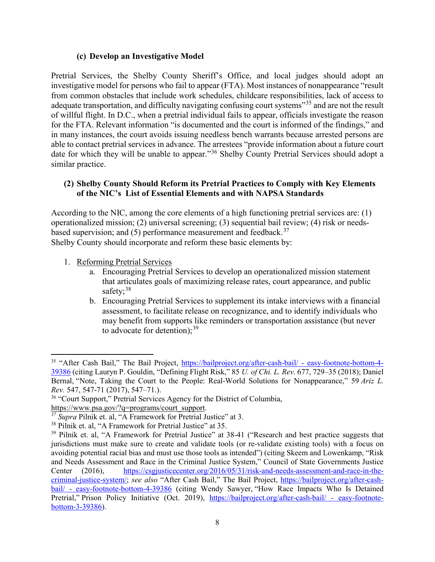#### **(c) Develop an Investigative Model**

Pretrial Services, the Shelby County Sheriff's Office, and local judges should adopt an investigative model for persons who fail to appear (FTA). Most instances of nonappearance "result from common obstacles that include work schedules, childcare responsibilities, lack of access to adequate transportation, and difficulty navigating confusing court systems"<sup>[35](#page-7-0)</sup> and are not the result of willful flight. In D.C., when a pretrial individual fails to appear, officials investigate the reason for the FTA. Relevant information "is documented and the court is informed of the findings," and in many instances, the court avoids issuing needless bench warrants because arrested persons are able to contact pretrial services in advance. The arrestees "provide information about a future court date for which they will be unable to appear."<sup>[36](#page-7-1)</sup> Shelby County Pretrial Services should adopt a similar practice.

#### **(2) Shelby County Should Reform its Pretrial Practices to Comply with Key Elements of the NIC's List of Essential Elements and with NAPSA Standards**

According to the NIC, among the core elements of a high functioning pretrial services are: (1) operationalized mission; (2) universal screening; (3) sequential bail review; (4) risk or needsbased supervision; and  $(5)$  performance measurement and feedback.<sup>[37](#page-7-2)</sup> Shelby County should incorporate and reform these basic elements by:

1. Reforming Pretrial Services

l

- a. Encouraging Pretrial Services to develop an operationalized mission statement that articulates goals of maximizing release rates, court appearance, and public safety;<sup>[38](#page-7-3)</sup>
- b. Encouraging Pretrial Services to supplement its intake interviews with a financial assessment, to facilitate release on recognizance, and to identify individuals who may benefit from supports like reminders or transportation assistance (but never to advocate for detention);<sup>[39](#page-7-4)</sup>

<span id="page-7-0"></span><sup>&</sup>lt;sup>35</sup> "After Cash Bail," The Bail Project, [https://bailproject.org/after-cash-bail/ -](https://bailproject.org/after-cash-bail/#easy-footnote-bottom-4-39386) easy-footnote-bottom-4-[39386](https://bailproject.org/after-cash-bail/#easy-footnote-bottom-4-39386) (citing Lauryn P. Gouldin, "Defining Flight Risk," 85 *U. of Chi. L. Rev.* 677, 729–35 (2018); Daniel Bernal, "Note, Taking the Court to the People: Real-World Solutions for Nonappearance," 59 *Ariz L. Rev.* 547, 547-71 (2017), 547–71.).

<span id="page-7-1"></span><sup>&</sup>lt;sup>36</sup> "Court Support," Pretrial Services Agency for the District of Columbia, [https://www.psa.gov/?q=programs/court\\_support.](https://www.psa.gov/?q=programs/court_support)

<span id="page-7-2"></span>*<sup>37</sup> Supra* Pilnik et. al, "A Framework for Pretrial Justice" at 3.

<span id="page-7-3"></span><sup>&</sup>lt;sup>38</sup> Pilnik et. al, "A Framework for Pretrial Justice" at 35.

<span id="page-7-4"></span><sup>&</sup>lt;sup>39</sup> Pilnik et. al, "A Framework for Pretrial Justice" at 38-41 ("Research and best practice suggests that jurisdictions must make sure to create and validate tools (or re-validate existing tools) with a focus on avoiding potential racial bias and must use those tools as intended") (citing Skeem and Lowenkamp, "Risk and Needs Assessment and Race in the Criminal Justice System," Council of State Governments Justice Center (2016), [https://csgjusticecenter.org/2016/05/31/risk-and-needs-assessment-and-race-in-the](https://csgjusticecenter.org/2016/05/31/risk-and-needs-assessment-and-race-in-the-criminal-justice-system/)[criminal-justice-system/;](https://csgjusticecenter.org/2016/05/31/risk-and-needs-assessment-and-race-in-the-criminal-justice-system/) *see also* "After Cash Bail," The Bail Project, [https://bailproject.org/after-cash](https://bailproject.org/after-cash-bail/#easy-footnote-bottom-4-39386)bail/ - [easy-footnote-bottom-4-39386](https://bailproject.org/after-cash-bail/#easy-footnote-bottom-4-39386) (citing Wendy Sawyer, "How Race Impacts Who Is Detained Pretrial," Prison Policy Initiative (Oct. 2019), [https://bailproject.org/after-cash-bail/ -](https://bailproject.org/after-cash-bail/#easy-footnote-bottom-3-39386) easy-footnote[bottom-3-39386\)](https://bailproject.org/after-cash-bail/#easy-footnote-bottom-3-39386).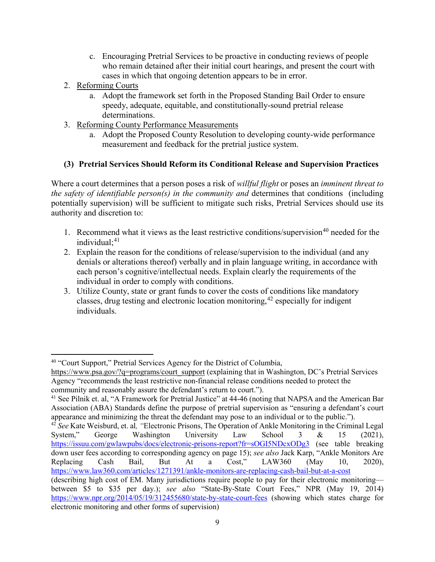- c. Encouraging Pretrial Services to be proactive in conducting reviews of people who remain detained after their initial court hearings, and present the court with cases in which that ongoing detention appears to be in error.
- 2. Reforming Courts

l

- a. Adopt the framework set forth in the Proposed Standing Bail Order to ensure speedy, adequate, equitable, and constitutionally-sound pretrial release determinations.
- 3. Reforming County Performance Measurements
	- a. Adopt the Proposed County Resolution to developing county-wide performance measurement and feedback for the pretrial justice system.

# **(3) Pretrial Services Should Reform its Conditional Release and Supervision Practices**

Where a court determines that a person poses a risk of *willful flight* or poses an *imminent threat to the safety of identifiable person(s) in the community and* determines that conditions (including potentially supervision) will be sufficient to mitigate such risks, Pretrial Services should use its authority and discretion to:

- 1. Recommend what it views as the least restrictive conditions/supervision<sup>[40](#page-8-0)</sup> needed for the individual; [41](#page-8-1)
- 2. Explain the reason for the conditions of release/supervision to the individual (and any denials or alterations thereof) verbally and in plain language writing, in accordance with each person's cognitive/intellectual needs. Explain clearly the requirements of the individual in order to comply with conditions.
- 3. Utilize County, state or grant funds to cover the costs of conditions like mandatory classes, drug testing and electronic location monitoring,  $42$  especially for indigent individuals.

<span id="page-8-0"></span><sup>&</sup>lt;sup>40</sup> "Court Support," Pretrial Services Agency for the District of Columbia,

[https://www.psa.gov/?q=programs/court\\_support](https://www.psa.gov/?q=programs/court_support) (explaining that in Washington, DC's Pretrial Services Agency "recommends the least restrictive non-financial release conditions needed to protect the community and reasonably assure the defendant's return to court.").

<span id="page-8-1"></span><sup>&</sup>lt;sup>41</sup> See Pilnik et. al, "A Framework for Pretrial Justice" at 44-46 (noting that NAPSA and the American Bar Association (ABA) Standards define the purpose of pretrial supervision as "ensuring a defendant's court appearance and minimizing the threat the defendant may pose to an individual or to the public.").

<span id="page-8-2"></span><sup>42</sup> *See* Kate Weisburd, et. al*, "*Electronic Prisons, The Operation of Ankle Monitoring in the Criminal Legal System," George Washington University Law School 3 & 15 (2021), <https://issuu.com/gwlawpubs/docs/electronic-prisons-report?fr=sOGI5NDcxODg3> (see table breaking down user fees according to corresponding agency on page 15); *see also* Jack Karp, "Ankle Monitors Are Replacing Cash Bail, But At a Cost," LAW360 (May 10, 2020), <https://www.law360.com/articles/1271391/ankle-monitors-are-replacing-cash-bail-but-at-a-cost>

<sup>(</sup>describing high cost of EM. Many jurisdictions require people to pay for their electronic monitoring between \$5 to \$35 per day.); *see also* "State-By-State Court Fees," NPR (May 19, 2014) <https://www.npr.org/2014/05/19/312455680/state-by-state-court-fees> (showing which states charge for electronic monitoring and other forms of supervision)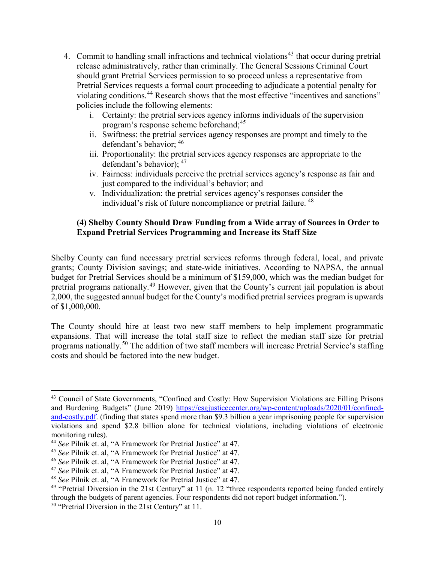- 4. Commit to handling small infractions and technical violations<sup>[43](#page-9-0)</sup> that occur during pretrial release administratively, rather than criminally. The General Sessions Criminal Court should grant Pretrial Services permission to so proceed unless a representative from Pretrial Services requests a formal court proceeding to adjudicate a potential penalty for violating conditions.<sup>[44](#page-9-1)</sup> Research shows that the most effective "incentives and sanctions" policies include the following elements:
	- i. Certainty: the pretrial services agency informs individuals of the supervision program's response scheme beforehand;<sup>[45](#page-9-2)</sup>
	- ii. Swiftness: the pretrial services agency responses are prompt and timely to the defendant's behavior; [46](#page-9-3)
	- iii. Proportionality: the pretrial services agency responses are appropriate to the defendant's behavior); [47](#page-9-4)
	- iv. Fairness: individuals perceive the pretrial services agency's response as fair and just compared to the individual's behavior; and
	- v. Individualization: the pretrial services agency's responses consider the individual's risk of future noncompliance or pretrial failure. <sup>[48](#page-9-5)</sup>

### **(4) Shelby County Should Draw Funding from a Wide array of Sources in Order to Expand Pretrial Services Programming and Increase its Staff Size**

Shelby County can fund necessary pretrial services reforms through federal, local, and private grants; County Division savings; and state-wide initiatives. According to NAPSA, the annual budget for Pretrial Services should be a minimum of \$159,000, which was the median budget for pretrial programs nationally.<sup>[49](#page-9-6)</sup> However, given that the County's current jail population is about 2,000, the suggested annual budget for the County's modified pretrial services program is upwards of \$1,000,000.

The County should hire at least two new staff members to help implement programmatic expansions. That will increase the total staff size to reflect the median staff size for pretrial programs nationally.[50](#page-9-7) The addition of two staff members will increase Pretrial Service's staffing costs and should be factored into the new budget.

 $\overline{\phantom{a}}$ 

<span id="page-9-0"></span><sup>43</sup> Council of State Governments, "Confined and Costly: How Supervision Violations are Filling Prisons and Burdening Budgets" (June 2019) [https://csgjusticecenter.org/wp-content/uploads/2020/01/confined](https://csgjusticecenter.org/wp-content/uploads/2020/01/confined-and-costly.pdf)[and-costly.pdf.](https://csgjusticecenter.org/wp-content/uploads/2020/01/confined-and-costly.pdf) (finding that states spend more than \$9.3 billion a year imprisoning people for supervision violations and spend \$2.8 billion alone for technical violations, including violations of electronic monitoring rules).

<span id="page-9-1"></span><sup>44</sup> *See* Pilnik et. al, "A Framework for Pretrial Justice" at 47.

<span id="page-9-2"></span><sup>45</sup> *See* Pilnik et. al, "A Framework for Pretrial Justice" at 47.

<span id="page-9-3"></span><sup>46</sup> *See* Pilnik et. al, "A Framework for Pretrial Justice" at 47.

<span id="page-9-4"></span><sup>47</sup> *See* Pilnik et. al, "A Framework for Pretrial Justice" at 47.

<span id="page-9-5"></span><sup>48</sup> *See* Pilnik et. al, "A Framework for Pretrial Justice" at 47.

<span id="page-9-6"></span><sup>&</sup>lt;sup>49</sup> "Pretrial Diversion in the 21st Century" at 11 (n. 12 "three respondents reported being funded entirely through the budgets of parent agencies. Four respondents did not report budget information.").

<span id="page-9-7"></span><sup>&</sup>lt;sup>50</sup> "Pretrial Diversion in the 21st Century" at 11.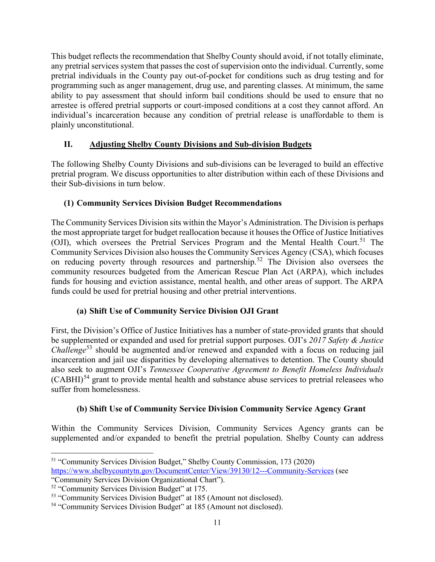This budget reflects the recommendation that Shelby County should avoid, if not totally eliminate, any pretrial services system that passes the cost of supervision onto the individual. Currently, some pretrial individuals in the County pay out-of-pocket for conditions such as drug testing and for programming such as anger management, drug use, and parenting classes. At minimum, the same ability to pay assessment that should inform bail conditions should be used to ensure that no arrestee is offered pretrial supports or court-imposed conditions at a cost they cannot afford. An individual's incarceration because any condition of pretrial release is unaffordable to them is plainly unconstitutional.

# **II. Adjusting Shelby County Divisions and Sub-division Budgets**

The following Shelby County Divisions and sub-divisions can be leveraged to build an effective pretrial program. We discuss opportunities to alter distribution within each of these Divisions and their Sub-divisions in turn below.

# **(1) Community Services Division Budget Recommendations**

The Community Services Division sits within the Mayor's Administration. The Division is perhaps the most appropriate target for budget reallocation because it houses the Office of Justice Initiatives (OJI), which oversees the Pretrial Services Program and the Mental Health Court.<sup>[51](#page-10-0)</sup> The Community Services Division also houses the Community Services Agency (CSA), which focuses on reducing poverty through resources and partnership.<sup>[52](#page-10-1)</sup> The Division also oversees the community resources budgeted from the American Rescue Plan Act (ARPA), which includes funds for housing and eviction assistance, mental health, and other areas of support. The ARPA funds could be used for pretrial housing and other pretrial interventions.

# **(a) Shift Use of Community Service Division OJI Grant**

First, the Division's Office of Justice Initiatives has a number of state-provided grants that should be supplemented or expanded and used for pretrial support purposes. OJI's *2017 Safety & Justice Challenge*<sup>[53](#page-10-2)</sup> should be augmented and/or renewed and expanded with a focus on reducing jail incarceration and jail use disparities by developing alternatives to detention. The County should also seek to augment OJI's *Tennessee Cooperative Agreement to Benefit Homeless Individuals*  $(CABHI)<sup>54</sup>$  $(CABHI)<sup>54</sup>$  $(CABHI)<sup>54</sup>$  grant to provide mental health and substance abuse services to pretrial releasees who suffer from homelessness.

# **(b) Shift Use of Community Service Division Community Service Agency Grant**

Within the Community Services Division, Community Services Agency grants can be supplemented and/or expanded to benefit the pretrial population. Shelby County can address

<span id="page-10-0"></span> $\overline{\phantom{a}}$ <sup>51</sup> "Community Services Division Budget," Shelby County Commission, 173 (2020) <https://www.shelbycountytn.gov/DocumentCenter/View/39130/12---Community-Services> (see

<sup>&</sup>quot;Community Services Division Organizational Chart").

<span id="page-10-1"></span><sup>52</sup> "Community Services Division Budget" at 175.

<span id="page-10-2"></span><sup>&</sup>lt;sup>53</sup> "Community Services Division Budget" at 185 (Amount not disclosed).

<span id="page-10-3"></span><sup>&</sup>lt;sup>54</sup> "Community Services Division Budget" at 185 (Amount not disclosed).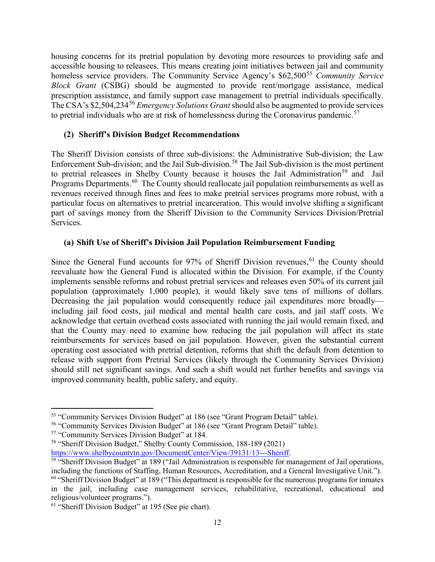housing concerns for its pretrial population by devoting more resources to providing safe and accessible housing to releasees. This means creating joint initiatives between jail and community homeless service providers. The Community Service Agency's \$62,500<sup>[55](#page-11-0)</sup> *Community Service Block Grant* (CSBG) should be augmented to provide rent/mortgage assistance, medical prescription assistance, and family support case management to pretrial individuals specifically. The CSA's \$2,504,234[56](#page-11-1) *Emergency Solutions Grant*should also be augmented to provide services to pretrial individuals who are at risk of homelessness during the Coronavirus pandemic.<sup>[57](#page-11-2)</sup>

### **(2) Sheriff's Division Budget Recommendations**

The Sheriff Division consists of three sub-divisions: the Administrative Sub-division; the Law Enforcement Sub-division; and the Jail Sub-division.<sup>[58](#page-11-3)</sup> The Jail Sub-division is the most pertinent to pretrial releasees in Shelby County because it houses the Jail Administration<sup>[59](#page-11-4)</sup> and Jail Programs Departments.<sup>[60](#page-11-5)</sup> The County should reallocate jail population reimbursements as well as revenues received through fines and fees to make pretrial services programs more robust, with a particular focus on alternatives to pretrial incarceration. This would involve shifting a significant part of savings money from the Sheriff Division to the Community Services Division/Pretrial Services.

### **(a) Shift Use of Sheriff's Division Jail Population Reimbursement Funding**

Since the General Fund accounts for  $97\%$  of Sheriff Division revenues, <sup>[61](#page-11-6)</sup> the County should reevaluate how the General Fund is allocated within the Division. For example, if the County implements sensible reforms and robust pretrial services and releases even 50% of its current jail population (approximately 1,000 people), it would likely save tens of millions of dollars. Decreasing the jail population would consequently reduce jail expenditures more broadly including jail food costs, jail medical and mental health care costs, and jail staff costs. We acknowledge that certain overhead costs associated with running the jail would remain fixed, and that the County may need to examine how reducing the jail population will affect its state reimbursements for services based on jail population. However, given the substantial current operating cost associated with pretrial detention, reforms that shift the default from detention to release with support from Pretrial Services (likely through the Community Services Division) should still net significant savings. And such a shift would net further benefits and savings via improved community health, public safety, and equity.

 $\overline{a}$ 

<span id="page-11-3"></span><sup>58</sup> "Sheriff Division Budget," Shelby County Commission, 188-189 (2021)

[https://www.shelbycountytn.gov/DocumentCenter/View/39131/13---Sheriff.](https://www.shelbycountytn.gov/DocumentCenter/View/39131/13---Sheriff)

<span id="page-11-0"></span><sup>55</sup> "Community Services Division Budget" at 186 (see "Grant Program Detail" table).

<span id="page-11-1"></span><sup>&</sup>lt;sup>56</sup> "Community Services Division Budget" at 186 (see "Grant Program Detail" table).

<span id="page-11-2"></span><sup>57</sup> "Community Services Division Budget" at 184.

<span id="page-11-4"></span><sup>&</sup>lt;sup>59</sup> "Sheriff Division Budget" at 189 ("Jail Administration is responsible for management of Jail operations, including the functions of Staffing, Human Resources, Accreditation, and a General Investigative Unit.").

<span id="page-11-5"></span><sup>&</sup>lt;sup>60</sup> "Sheriff Division Budget" at 189 ("This department is responsible for the numerous programs for inmates in the jail, including case management services, rehabilitative, recreational, educational and religious/volunteer programs.").

<span id="page-11-6"></span><sup>&</sup>lt;sup>61</sup> "Sheriff Division Budget" at 195 (See pie chart).